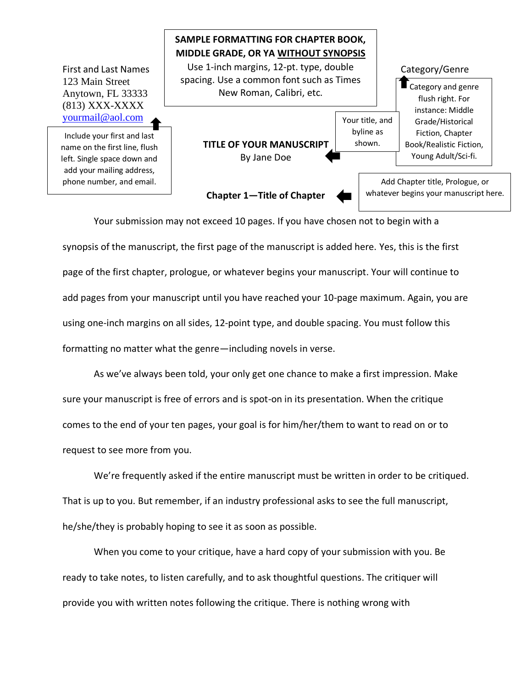

Your submission may not exceed 10 pages. If you have chosen not to begin with a synopsis of the manuscript, the first page of the manuscript is added here. Yes, this is the first page of the first chapter, prologue, or whatever begins your manuscript. Your will continue to add pages from your manuscript until you have reached your 10-page maximum. Again, you are using one-inch margins on all sides, 12-point type, and double spacing. You must follow this formatting no matter what the genre—including novels in verse.

As we've always been told, your only get one chance to make a first impression. Make sure your manuscript is free of errors and is spot-on in its presentation. When the critique comes to the end of your ten pages, your goal is for him/her/them to want to read on or to request to see more from you.

We're frequently asked if the entire manuscript must be written in order to be critiqued. That is up to you. But remember, if an industry professional asks to see the full manuscript, he/she/they is probably hoping to see it as soon as possible.

When you come to your critique, have a hard copy of your submission with you. Be ready to take notes, to listen carefully, and to ask thoughtful questions. The critiquer will provide you with written notes following the critique. There is nothing wrong with